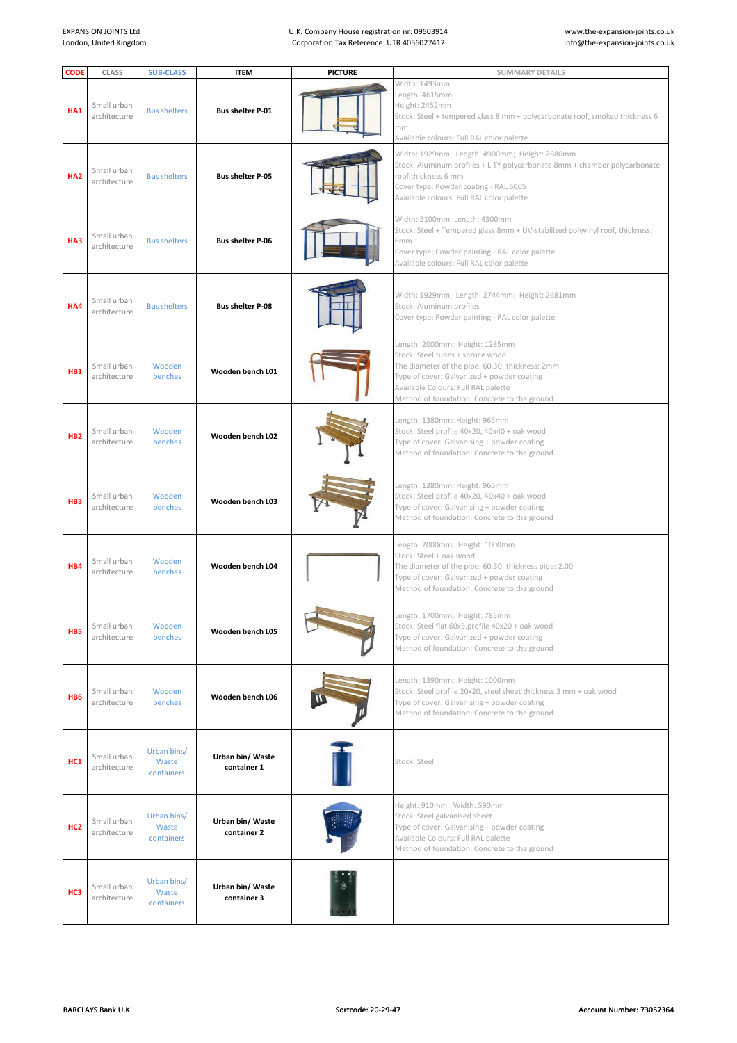## U.K. Company House registration nr: 09503914 Corporation Tax Reference: UTR 4056027412

| <b>CODE</b>     | <b>CLASS</b>                | <b>SUB-CLASS</b>                   | <b>ITEM</b>                     | <b>PICTURE</b> | <b>SUMMARY DETAILS</b>                                                                                                                                                                                                                                     |
|-----------------|-----------------------------|------------------------------------|---------------------------------|----------------|------------------------------------------------------------------------------------------------------------------------------------------------------------------------------------------------------------------------------------------------------------|
| HA1             | Small urban<br>architecture | <b>Bus shelters</b>                | <b>Bus shelter P-01</b>         |                | Width: 1493mm<br>Length: 4615mm<br>Height: 2452mm<br>Stock: Steel + tempered glass 8 mm + polycarbonate roof, smoked thickness 6<br>mm<br>Available colours: Full RAL color palette                                                                        |
| HA <sub>2</sub> | Small urban<br>architecture | <b>Bus shelters</b>                | <b>Bus shelter P-05</b>         |                | Width: 1929mm; Length: 4900mm; Height: 2680mm<br>Stock: Aluminum profiles + LITY polycarbonate 8mm + chamber polycarbonate<br>roof thickness 6 mm<br>Cover type: Powder coating - RAL 5005<br>Available colours: Full RAL color palette                    |
| HA3             | Small urban<br>architecture | <b>Bus shelters</b>                | <b>Bus shelter P-06</b>         |                | Width: 2100mm; Length: 4300mm<br>Stock: Steel + Tempered glass 8mm + UV-stabilized polyvinyl roof, thickness:<br>6mm<br>Cover type: Powder painting - RAL color palette<br>Available colours: Full RAL color palette                                       |
| HA4             | Small urban<br>architecture | <b>Bus shelters</b>                | <b>Bus shelter P-08</b>         |                | Width: 1929mm; Length: 2744mm; Height: 2681mm<br>Stock: Aluminum profiles<br>Cover type: Powder painting - RAL color palette                                                                                                                               |
| HB1             | Small urban<br>architecture | Wooden<br>benches                  | Wooden bench L01                |                | Length: 2000mm; Height: 1285mm<br>Stock: Steel tubes + spruce wood<br>The diameter of the pipe: 60.30; thickness: 2mm<br>Type of cover: Galvanized + powder coating<br>Available Colours: Full RAL palette<br>Method of foundation: Concrete to the ground |
| HB <sub>2</sub> | Small urban<br>architecture | Wooden<br>benches                  | Wooden bench L02                |                | Length: 1380mm; Height: 965mm<br>Stock: Steel profile 40x20, 40x40 + oak wood<br>Type of cover: Galvanising + powder coating<br>Method of foundation: Concrete to the ground                                                                               |
| HB <sub>3</sub> | Small urban<br>architecture | Wooden<br>benches                  | Wooden bench L03                |                | Length: 1380mm; Height: 965mm<br>Stock: Steel profile 40x20, 40x40 + oak wood<br>Type of cover: Galvanising + powder coating<br>Method of foundation: Concrete to the ground                                                                               |
| HB4             | Small urban<br>architecture | Wooden<br>benches                  | Wooden bench L04                |                | Length: 2000mm; Height: 1000mm<br>Stock: Steel + oak wood<br>The diameter of the pipe: 60.30; thickness pipe: 2.00<br>Type of cover: Galvanized + powder coating<br>Method of foundation: Concrete to the ground                                           |
| HB <sub>5</sub> | Small urban<br>architecture | Wooden<br>benches                  | Wooden bench L05                |                | ength: 1700mm: Height: 785mm.<br>Stock: Steel flat 60x5, profile 40x20 + oak wood<br>Type of cover: Galvanized + powder coating<br>Method of foundation: Concrete to the ground                                                                            |
| HB <sub>6</sub> | Small urban<br>architecture | Wooden<br>benches                  | Wooden bench L06                |                | Length: 1390mm; Height: 1000mm<br>Stock: Steel profile 20x20, steel sheet thickness 3 mm + oak wood<br>Type of cover: Galvanising + powder coating<br>Method of foundation: Concrete to the ground                                                         |
| HC1             | Small urban<br>architecture | Urban bins/<br>Waste<br>containers | Urban bin/ Waste<br>container 1 |                | Stock: Steel                                                                                                                                                                                                                                               |
| HC <sub>2</sub> | Small urban<br>architecture | Urban bins/<br>Waste<br>containers | Urban bin/ Waste<br>container 2 |                | Height: 910mm; Width: 590mm<br>Stock: Steel galvanised sheet<br>Type of cover: Galvanising + powder coating<br>Available Colours: Full RAL palette<br>Method of foundation: Concrete to the ground                                                         |
| HC <sub>3</sub> | Small urban<br>architecture | Urban bins/<br>Waste<br>containers | Urban bin/ Waste<br>container 3 |                |                                                                                                                                                                                                                                                            |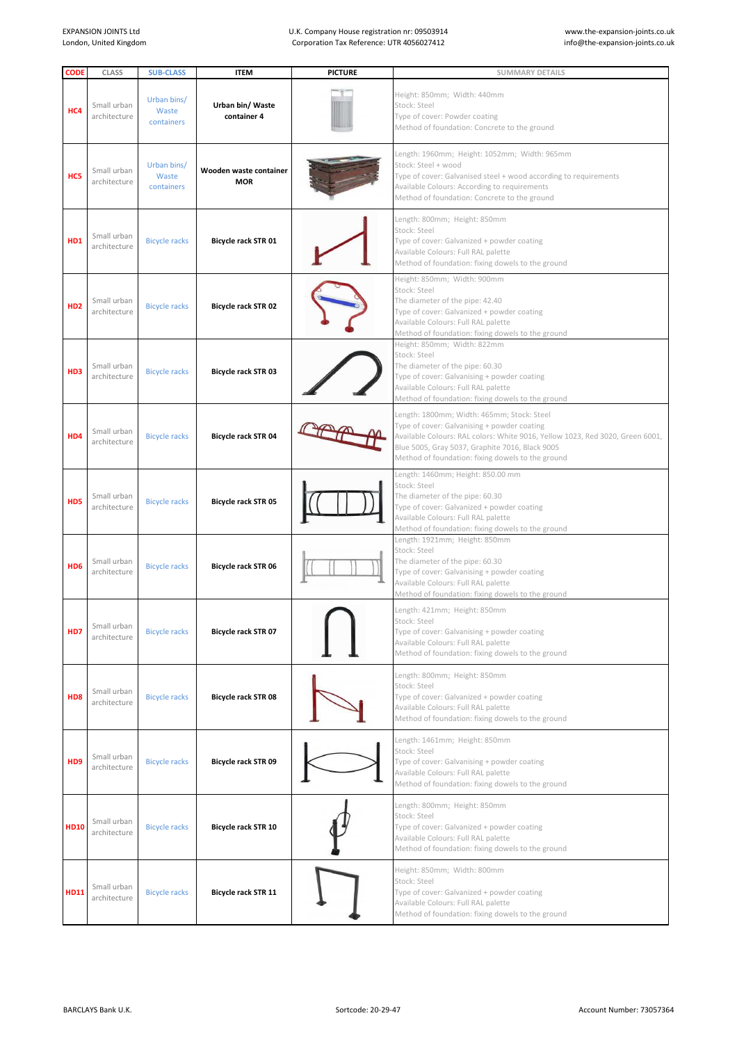## U.K. Company House registration nr: 09503914 Corporation Tax Reference: UTR 4056027412

| <b>CODE</b>                 | <b>CLASS</b>                | <b>SUB-CLASS</b>                   | <b>ITEM</b>                          | <b>PICTURE</b> | <b>SUMMARY DETAILS</b>                                                                                                                                                                                                                                                             |
|-----------------------------|-----------------------------|------------------------------------|--------------------------------------|----------------|------------------------------------------------------------------------------------------------------------------------------------------------------------------------------------------------------------------------------------------------------------------------------------|
| HC4                         | Small urban<br>architecture | Urban bins/<br>Waste<br>containers | Urban bin/ Waste<br>container 4      |                | Height: 850mm; Width: 440mm<br>Stock: Steel<br>Type of cover: Powder coating<br>Method of foundation: Concrete to the ground                                                                                                                                                       |
| HC5                         | Small urban<br>architecture | Urban bins/<br>Waste<br>containers | Wooden waste container<br><b>MOR</b> |                | Length: 1960mm; Height: 1052mm; Width: 965mm<br>Stock: Steel + wood<br>Type of cover: Galvanised steel + wood according to requirements<br>Available Colours: According to requirements<br>Method of foundation: Concrete to the ground                                            |
| HD1                         | Small urban<br>architecture | <b>Bicycle racks</b>               | Bicycle rack STR 01                  |                | Length: 800mm; Height: 850mm<br>Stock: Steel<br>Type of cover: Galvanized + powder coating<br>Available Colours: Full RAL palette<br>Method of foundation: fixing dowels to the ground                                                                                             |
| HD <sub>2</sub>             | Small urban<br>architecture | <b>Bicycle racks</b>               | Bicycle rack STR 02                  |                | Height: 850mm; Width: 900mm<br>Stock: Steel<br>The diameter of the pipe: 42.40<br>Type of cover: Galvanized + powder coating<br>Available Colours: Full RAL palette<br>Method of foundation: fixing dowels to the ground                                                           |
| HD3                         | Small urban<br>architecture | <b>Bicycle racks</b>               | <b>Bicycle rack STR 03</b>           |                | Height: 850mm; Width: 822mm<br>Stock: Steel<br>The diameter of the pipe: 60.30<br>Type of cover: Galvanising + powder coating<br>Available Colours: Full RAL palette<br>Method of foundation: fixing dowels to the ground                                                          |
| H <sub>D</sub> 4            | Small urban<br>architecture | <b>Bicycle racks</b>               | Bicycle rack STR 04                  |                | Length: 1800mm; Width: 465mm; Stock: Steel<br>Type of cover: Galvanising + powder coating<br>Available Colours: RAL colors: White 9016, Yellow 1023, Red 3020, Green 6001,<br>Blue 5005, Gray 5037, Graphite 7016, Black 9005<br>Method of foundation: fixing dowels to the ground |
| HD5                         | Small urban<br>architecture | <b>Bicycle racks</b>               | Bicycle rack STR 05                  |                | Length: 1460mm; Height: 850.00 mm<br>Stock: Steel<br>The diameter of the pipe: 60.30<br>Type of cover: Galvanized + powder coating<br>Available Colours: Full RAL palette<br>Method of foundation: fixing dowels to the ground                                                     |
| H <sub>D</sub> <sub>6</sub> | Small urban<br>architecture | <b>Bicycle racks</b>               | <b>Bicycle rack STR 06</b>           |                | Length: 1921mm; Height: 850mm<br>Stock: Steel<br>The diameter of the pipe: 60.30<br>Type of cover: Galvanising + powder coating<br>Available Colours: Full RAL palette<br>Method of foundation: fixing dowels to the ground                                                        |
| H <sub>D</sub> 7            | Small urban<br>architecture | <b>Bicycle racks</b>               | <b>Bicycle rack STR 07</b>           |                | Length: 421mm; Height: 850mm<br>Stock: Steel<br>Type of cover: Galvanising + powder coating<br>Available Colours: Full RAL palette<br>Method of foundation: fixing dowels to the ground                                                                                            |
| H <sub>D</sub> 8            | Small urban<br>architecture | <b>Bicycle racks</b>               | <b>Bicycle rack STR 08</b>           |                | Length: 800mm; Height: 850mm<br>Stock: Steel<br>Type of cover: Galvanized + powder coating<br>Available Colours: Full RAL palette<br>Method of foundation: fixing dowels to the ground                                                                                             |
| H <sub>D</sub> <sub>9</sub> | Small urban<br>architecture | <b>Bicycle racks</b>               | <b>Bicycle rack STR 09</b>           |                | Length: 1461mm; Height: 850mm<br>Stock: Steel<br>Type of cover: Galvanising + powder coating<br>Available Colours: Full RAL palette<br>Method of foundation: fixing dowels to the ground                                                                                           |
| <b>HD10</b>                 | Small urban<br>architecture | <b>Bicycle racks</b>               | <b>Bicycle rack STR 10</b>           |                | Length: 800mm; Height: 850mm<br>Stock: Steel<br>Type of cover: Galvanized + powder coating<br>Available Colours: Full RAL palette<br>Method of foundation: fixing dowels to the ground                                                                                             |
| <b>HD11</b>                 | Small urban<br>architecture | <b>Bicycle racks</b>               | Bicycle rack STR 11                  |                | Height: 850mm; Width: 800mm<br>Stock: Steel<br>Type of cover: Galvanized + powder coating<br>Available Colours: Full RAL palette<br>Method of foundation: fixing dowels to the ground                                                                                              |